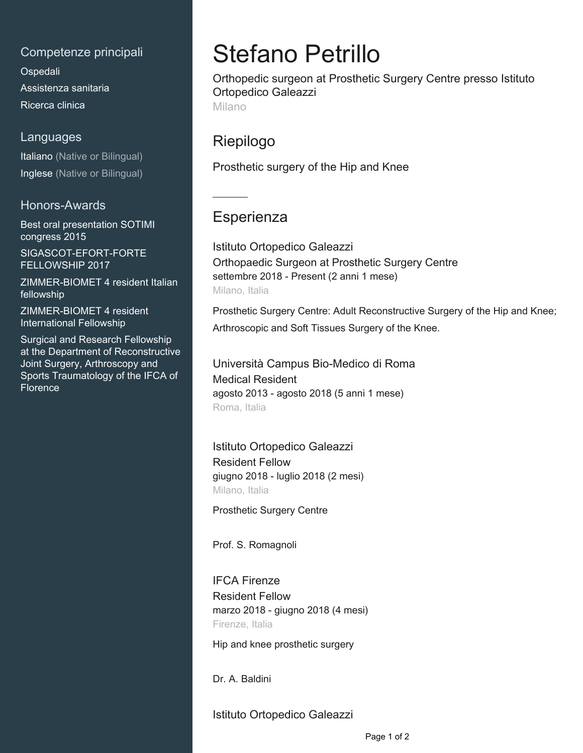### Competenze principali

[Ospedali](mailto:ortopedicopetrillo@gmail.com) Assistenza sanitaria [Ricerca clinica](https://www.linkedin.com/in/stefano-petrillo-a1921214a?jobid=1234&lipi=urn%3Ali%3Apage%3Ad_jobs_easyapply_pdfgenresume%3BcXUPSrpoTNGsh8COYS4XEA%3D%3D&licu=urn%3Ali%3Acontrol%3Ad_jobs_easyapply_pdfgenresume-v02_profile)

#### Languages

Italiano (Native or Bilingual) Inglese (Native or Bilingual)

### Honors-Awards

Best oral presentation SOTIMI congress 2015 SIGASCOT-EFORT-FORTE

FELLOWSHIP 2017

ZIMMER-BIOMET 4 resident Italian fellowship

ZIMMER-BIOMET 4 resident International Fellowship

Surgical and Research Fellowship at the Department of Reconstructive Joint Surgery, Arthroscopy and Sports Traumatology of the IFCA of Florence

# Stefano Petrillo

Orthopedic surgeon at Prosthetic Surgery Centre presso Istituto Ortopedico Galeazzi Milano

## Riepilogo

Prosthetic surgery of the Hip and Knee

## **Esperienza**

Istituto Ortopedico Galeazzi Orthopaedic Surgeon at Prosthetic Surgery Centre settembre 2018 - Present (2 anni 1 mese) Milano, Italia

Prosthetic Surgery Centre: Adult Reconstructive Surgery of the Hip and Knee; Arthroscopic and Soft Tissues Surgery of the Knee.

Università Campus Bio-Medico di Roma Medical Resident agosto 2013 - agosto 2018 (5 anni 1 mese) Roma, Italia

Istituto Ortopedico Galeazzi Resident Fellow giugno 2018 - luglio 2018 (2 mesi) Milano, Italia

Prosthetic Surgery Centre

Prof. S. Romagnoli

IFCA Firenze Resident Fellow marzo 2018 - giugno 2018 (4 mesi) Firenze, Italia

Hip and knee prosthetic surgery

Dr. A. Baldini

Istituto Ortopedico Galeazzi